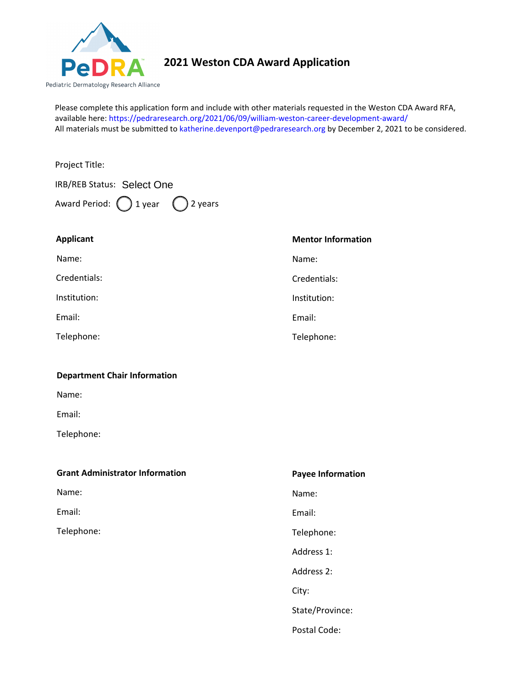

## **2021 Weston CDA Award Application**

Please complete this application form and include with other materials requested in the Weston CDA Award RFA, available here: [https://pedraresearch.org/2021/06/09/william-weston-career-development-award/](https://pedraresearch.org/2019/10/11/william-weston-career-development-award/) All materials must be submitted to katherine.devenport@pedraresearch.org by December 2, 2021 to be considered.

| Project Title:                                     |                           |
|----------------------------------------------------|---------------------------|
| IRB/REB Status: Select One                         |                           |
| Award Period: $\bigcirc$ 1 year $\bigcirc$ 2 years |                           |
| <b>Applicant</b>                                   | <b>Mentor Information</b> |
| Name:                                              | Name:                     |
| Credentials:                                       | Credentials:              |
| Institution:                                       | Institution:              |
| Email:                                             | Email:                    |
| Telephone:                                         | Telephone:                |
| <b>Department Chair Information</b>                |                           |
| Name:                                              |                           |
| Email:                                             |                           |
| Telephone:                                         |                           |
| <b>Grant Administrator Information</b>             | <b>Payee Information</b>  |
| Name:                                              | Name:                     |
| Email:                                             | Email:                    |
| Telephone:                                         | Telephone:                |
|                                                    | Address 1:                |
|                                                    | Address 2:                |
|                                                    |                           |

City:

State/Province:

Postal Code: